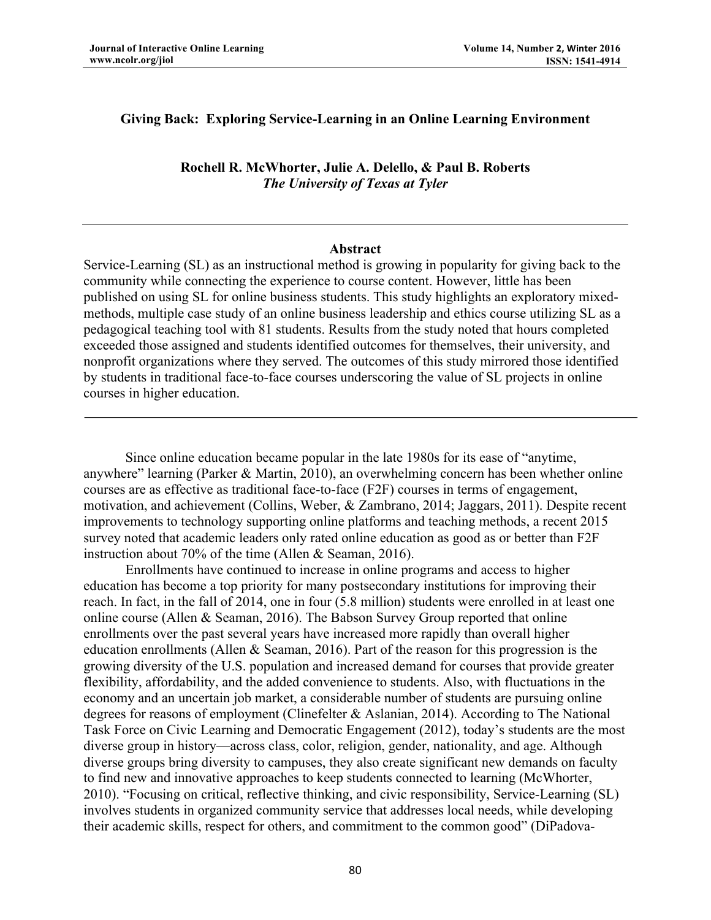### **Giving Back: Exploring Service-Learning in an Online Learning Environment**

**Rochell R. McWhorter, Julie A. Delello, & Paul B. Roberts** *The University of Texas at Tyler*

#### **Abstract**

Service-Learning (SL) as an instructional method is growing in popularity for giving back to the community while connecting the experience to course content. However, little has been published on using SL for online business students. This study highlights an exploratory mixedmethods, multiple case study of an online business leadership and ethics course utilizing SL as a pedagogical teaching tool with 81 students. Results from the study noted that hours completed exceeded those assigned and students identified outcomes for themselves, their university, and nonprofit organizations where they served. The outcomes of this study mirrored those identified by students in traditional face-to-face courses underscoring the value of SL projects in online courses in higher education.

Since online education became popular in the late 1980s for its ease of "anytime, anywhere" learning (Parker & Martin, 2010), an overwhelming concern has been whether online courses are as effective as traditional face-to-face (F2F) courses in terms of engagement, motivation, and achievement (Collins, Weber, & Zambrano, 2014; Jaggars, 2011). Despite recent improvements to technology supporting online platforms and teaching methods, a recent 2015 survey noted that academic leaders only rated online education as good as or better than F2F instruction about 70% of the time (Allen & Seaman, 2016).

Enrollments have continued to increase in online programs and access to higher education has become a top priority for many postsecondary institutions for improving their reach. In fact, in the fall of 2014, one in four (5.8 million) students were enrolled in at least one online course (Allen & Seaman, 2016). The Babson Survey Group reported that online enrollments over the past several years have increased more rapidly than overall higher education enrollments (Allen & Seaman, 2016). Part of the reason for this progression is the growing diversity of the U.S. population and increased demand for courses that provide greater flexibility, affordability, and the added convenience to students. Also, with fluctuations in the economy and an uncertain job market, a considerable number of students are pursuing online degrees for reasons of employment (Clinefelter & Aslanian, 2014). According to The National Task Force on Civic Learning and Democratic Engagement (2012), today's students are the most diverse group in history—across class, color, religion, gender, nationality, and age. Although diverse groups bring diversity to campuses, they also create significant new demands on faculty to find new and innovative approaches to keep students connected to learning (McWhorter, 2010). "Focusing on critical, reflective thinking, and civic responsibility, Service-Learning (SL) involves students in organized community service that addresses local needs, while developing their academic skills, respect for others, and commitment to the common good" (DiPadova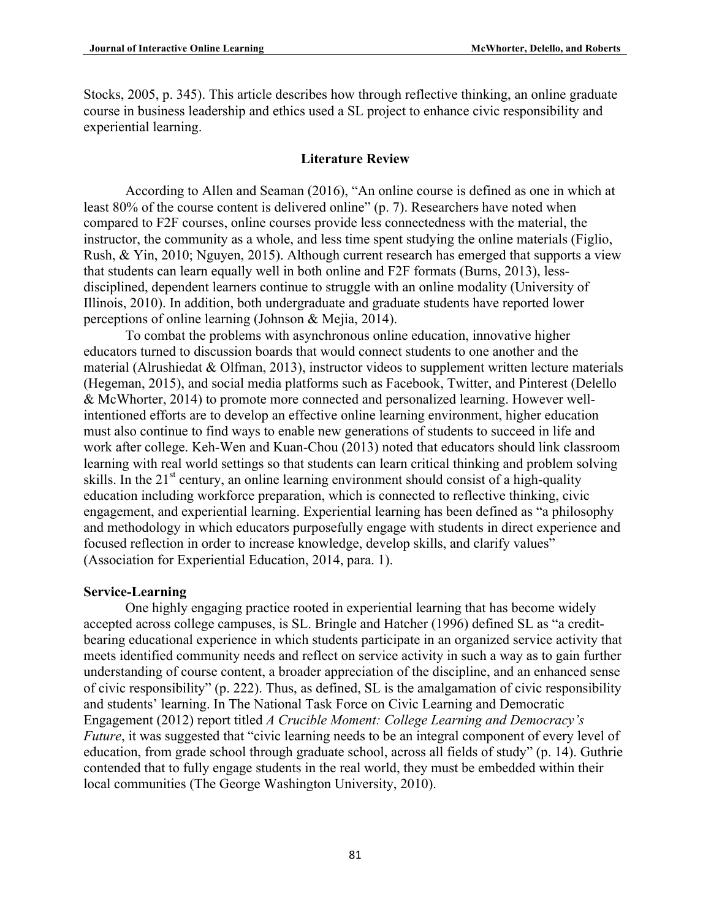Stocks, 2005, p. 345). This article describes how through reflective thinking, an online graduate course in business leadership and ethics used a SL project to enhance civic responsibility and experiential learning.

# **Literature Review**

According to Allen and Seaman (2016), "An online course is defined as one in which at least 80% of the course content is delivered online" (p. 7). Researchers have noted when compared to F2F courses, online courses provide less connectedness with the material, the instructor, the community as a whole, and less time spent studying the online materials (Figlio, Rush, & Yin, 2010; Nguyen, 2015). Although current research has emerged that supports a view that students can learn equally well in both online and F2F formats (Burns, 2013), lessdisciplined, dependent learners continue to struggle with an online modality (University of Illinois, 2010). In addition, both undergraduate and graduate students have reported lower perceptions of online learning (Johnson & Mejia, 2014).

To combat the problems with asynchronous online education, innovative higher educators turned to discussion boards that would connect students to one another and the material (Alrushiedat & Olfman, 2013), instructor videos to supplement written lecture materials (Hegeman, 2015), and social media platforms such as Facebook, Twitter, and Pinterest (Delello & McWhorter, 2014) to promote more connected and personalized learning. However wellintentioned efforts are to develop an effective online learning environment, higher education must also continue to find ways to enable new generations of students to succeed in life and work after college. Keh-Wen and Kuan-Chou (2013) noted that educators should link classroom learning with real world settings so that students can learn critical thinking and problem solving skills. In the 21<sup>st</sup> century, an online learning environment should consist of a high-quality education including workforce preparation, which is connected to reflective thinking, civic engagement, and experiential learning. Experiential learning has been defined as "a philosophy and methodology in which educators purposefully engage with students in direct experience and focused reflection in order to increase knowledge, develop skills, and clarify values" (Association for Experiential Education, 2014, para. 1).

#### **Service-Learning**

One highly engaging practice rooted in experiential learning that has become widely accepted across college campuses, is SL. Bringle and Hatcher (1996) defined SL as "a creditbearing educational experience in which students participate in an organized service activity that meets identified community needs and reflect on service activity in such a way as to gain further understanding of course content, a broader appreciation of the discipline, and an enhanced sense of civic responsibility" (p. 222). Thus, as defined, SL is the amalgamation of civic responsibility and students' learning. In The National Task Force on Civic Learning and Democratic Engagement (2012) report titled *A Crucible Moment: College Learning and Democracy's Future*, it was suggested that "civic learning needs to be an integral component of every level of education, from grade school through graduate school, across all fields of study" (p. 14). Guthrie contended that to fully engage students in the real world, they must be embedded within their local communities (The George Washington University, 2010).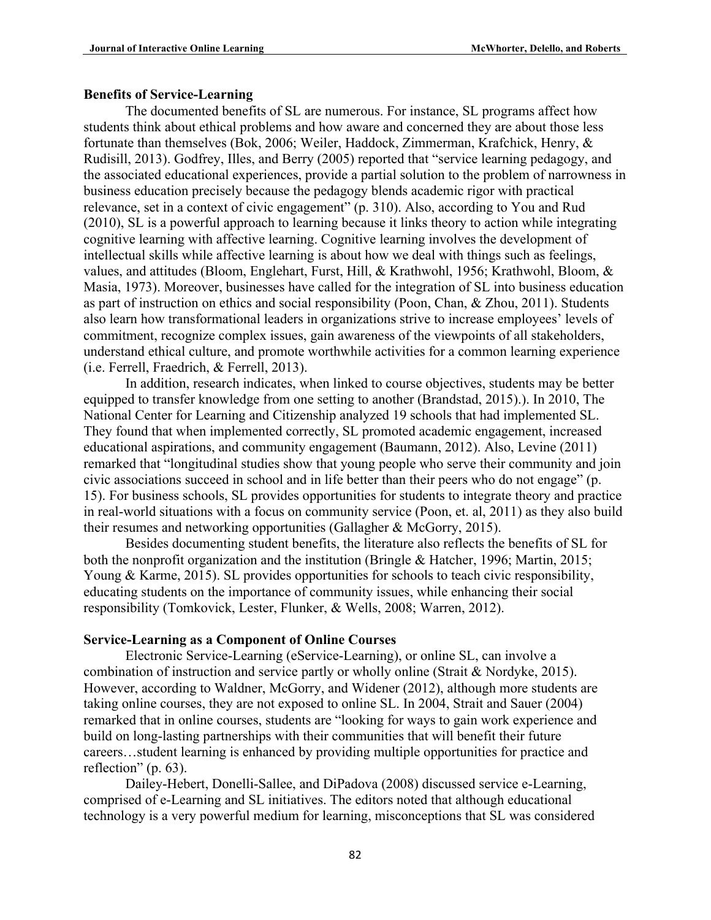#### **Benefits of Service-Learning**

The documented benefits of SL are numerous. For instance, SL programs affect how students think about ethical problems and how aware and concerned they are about those less fortunate than themselves (Bok, 2006; Weiler, Haddock, Zimmerman, Krafchick, Henry, & Rudisill, 2013). Godfrey, Illes, and Berry (2005) reported that "service learning pedagogy, and the associated educational experiences, provide a partial solution to the problem of narrowness in business education precisely because the pedagogy blends academic rigor with practical relevance, set in a context of civic engagement" (p. 310). Also, according to You and Rud (2010), SL is a powerful approach to learning because it links theory to action while integrating cognitive learning with affective learning. Cognitive learning involves the development of intellectual skills while affective learning is about how we deal with things such as feelings, values, and attitudes (Bloom, Englehart, Furst, Hill, & Krathwohl, 1956; Krathwohl, Bloom, & Masia, 1973). Moreover, businesses have called for the integration of SL into business education as part of instruction on ethics and social responsibility (Poon, Chan, & Zhou, 2011). Students also learn how transformational leaders in organizations strive to increase employees' levels of commitment, recognize complex issues, gain awareness of the viewpoints of all stakeholders, understand ethical culture, and promote worthwhile activities for a common learning experience (i.e. Ferrell, Fraedrich, & Ferrell, 2013).

In addition, research indicates, when linked to course objectives, students may be better equipped to transfer knowledge from one setting to another (Brandstad, 2015).). In 2010, The National Center for Learning and Citizenship analyzed 19 schools that had implemented SL. They found that when implemented correctly, SL promoted academic engagement, increased educational aspirations, and community engagement (Baumann, 2012). Also, Levine (2011) remarked that "longitudinal studies show that young people who serve their community and join civic associations succeed in school and in life better than their peers who do not engage" (p. 15). For business schools, SL provides opportunities for students to integrate theory and practice in real-world situations with a focus on community service (Poon, et. al, 2011) as they also build their resumes and networking opportunities (Gallagher & McGorry, 2015).

Besides documenting student benefits, the literature also reflects the benefits of SL for both the nonprofit organization and the institution (Bringle & Hatcher, 1996; Martin, 2015; Young & Karme, 2015). SL provides opportunities for schools to teach civic responsibility, educating students on the importance of community issues, while enhancing their social responsibility (Tomkovick, Lester, Flunker, & Wells, 2008; Warren, 2012).

## **Service-Learning as a Component of Online Courses**

Electronic Service-Learning (eService-Learning), or online SL, can involve a combination of instruction and service partly or wholly online (Strait & Nordyke, 2015). However, according to Waldner, McGorry, and Widener (2012), although more students are taking online courses, they are not exposed to online SL. In 2004, Strait and Sauer (2004) remarked that in online courses, students are "looking for ways to gain work experience and build on long-lasting partnerships with their communities that will benefit their future careers…student learning is enhanced by providing multiple opportunities for practice and reflection" (p. 63).

Dailey-Hebert, Donelli-Sallee, and DiPadova (2008) discussed service e-Learning, comprised of e-Learning and SL initiatives. The editors noted that although educational technology is a very powerful medium for learning, misconceptions that SL was considered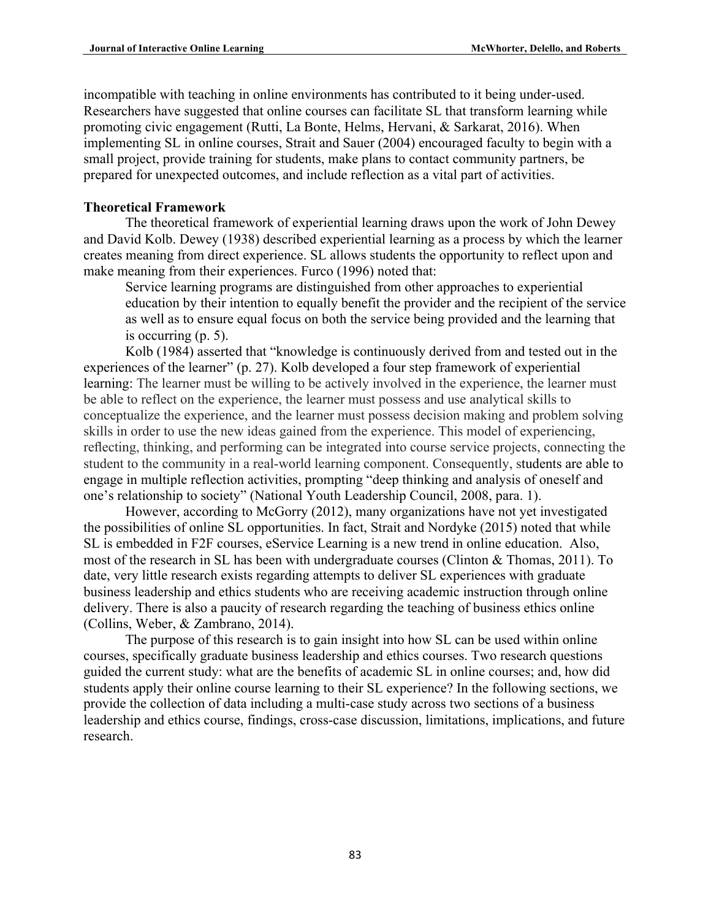incompatible with teaching in online environments has contributed to it being under-used. Researchers have suggested that online courses can facilitate SL that transform learning while promoting civic engagement (Rutti, La Bonte, Helms, Hervani, & Sarkarat, 2016). When implementing SL in online courses, Strait and Sauer (2004) encouraged faculty to begin with a small project, provide training for students, make plans to contact community partners, be prepared for unexpected outcomes, and include reflection as a vital part of activities.

# **Theoretical Framework**

The theoretical framework of experiential learning draws upon the work of John Dewey and David Kolb. Dewey (1938) described experiential learning as a process by which the learner creates meaning from direct experience. SL allows students the opportunity to reflect upon and make meaning from their experiences. Furco (1996) noted that:

Service learning programs are distinguished from other approaches to experiential education by their intention to equally benefit the provider and the recipient of the service as well as to ensure equal focus on both the service being provided and the learning that is occurring (p. 5).

Kolb (1984) asserted that "knowledge is continuously derived from and tested out in the experiences of the learner" (p. 27). Kolb developed a four step framework of experiential learning: The learner must be willing to be actively involved in the experience, the learner must be able to reflect on the experience, the learner must possess and use analytical skills to conceptualize the experience, and the learner must possess decision making and problem solving skills in order to use the new ideas gained from the experience. This model of experiencing, reflecting, thinking, and performing can be integrated into course service projects, connecting the student to the community in a real-world learning component. Consequently, students are able to engage in multiple reflection activities, prompting "deep thinking and analysis of oneself and one's relationship to society" (National Youth Leadership Council, 2008, para. 1).

However, according to McGorry (2012), many organizations have not yet investigated the possibilities of online SL opportunities. In fact, Strait and Nordyke (2015) noted that while SL is embedded in F2F courses, eService Learning is a new trend in online education. Also, most of the research in SL has been with undergraduate courses (Clinton & Thomas, 2011). To date, very little research exists regarding attempts to deliver SL experiences with graduate business leadership and ethics students who are receiving academic instruction through online delivery. There is also a paucity of research regarding the teaching of business ethics online (Collins, Weber, & Zambrano, 2014).

The purpose of this research is to gain insight into how SL can be used within online courses, specifically graduate business leadership and ethics courses. Two research questions guided the current study: what are the benefits of academic SL in online courses; and, how did students apply their online course learning to their SL experience? In the following sections, we provide the collection of data including a multi-case study across two sections of a business leadership and ethics course, findings, cross-case discussion, limitations, implications, and future research.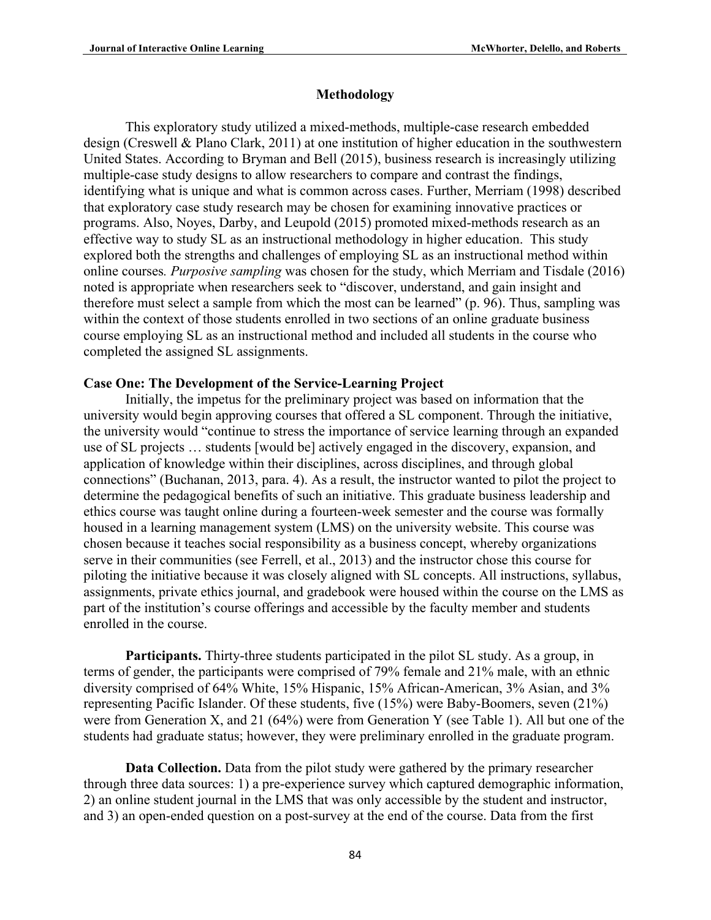### **Methodology**

This exploratory study utilized a mixed-methods, multiple-case research embedded design (Creswell & Plano Clark, 2011) at one institution of higher education in the southwestern United States. According to Bryman and Bell (2015), business research is increasingly utilizing multiple-case study designs to allow researchers to compare and contrast the findings, identifying what is unique and what is common across cases. Further, Merriam (1998) described that exploratory case study research may be chosen for examining innovative practices or programs. Also, Noyes, Darby, and Leupold (2015) promoted mixed-methods research as an effective way to study SL as an instructional methodology in higher education. This study explored both the strengths and challenges of employing SL as an instructional method within online courses*. Purposive sampling* was chosen for the study, which Merriam and Tisdale (2016) noted is appropriate when researchers seek to "discover, understand, and gain insight and therefore must select a sample from which the most can be learned" (p. 96). Thus, sampling was within the context of those students enrolled in two sections of an online graduate business course employing SL as an instructional method and included all students in the course who completed the assigned SL assignments.

## **Case One: The Development of the Service-Learning Project**

Initially, the impetus for the preliminary project was based on information that the university would begin approving courses that offered a SL component. Through the initiative, the university would "continue to stress the importance of service learning through an expanded use of SL projects … students [would be] actively engaged in the discovery, expansion, and application of knowledge within their disciplines, across disciplines, and through global connections" (Buchanan, 2013, para. 4). As a result, the instructor wanted to pilot the project to determine the pedagogical benefits of such an initiative. This graduate business leadership and ethics course was taught online during a fourteen-week semester and the course was formally housed in a learning management system (LMS) on the university website. This course was chosen because it teaches social responsibility as a business concept, whereby organizations serve in their communities (see Ferrell, et al., 2013) and the instructor chose this course for piloting the initiative because it was closely aligned with SL concepts. All instructions, syllabus, assignments, private ethics journal, and gradebook were housed within the course on the LMS as part of the institution's course offerings and accessible by the faculty member and students enrolled in the course.

**Participants.** Thirty-three students participated in the pilot SL study. As a group, in terms of gender, the participants were comprised of 79% female and 21% male, with an ethnic diversity comprised of 64% White, 15% Hispanic, 15% African-American, 3% Asian, and 3% representing Pacific Islander. Of these students, five (15%) were Baby-Boomers, seven (21%) were from Generation X, and 21 (64%) were from Generation Y (see Table 1). All but one of the students had graduate status; however, they were preliminary enrolled in the graduate program.

**Data Collection.** Data from the pilot study were gathered by the primary researcher through three data sources: 1) a pre-experience survey which captured demographic information, 2) an online student journal in the LMS that was only accessible by the student and instructor, and 3) an open-ended question on a post-survey at the end of the course. Data from the first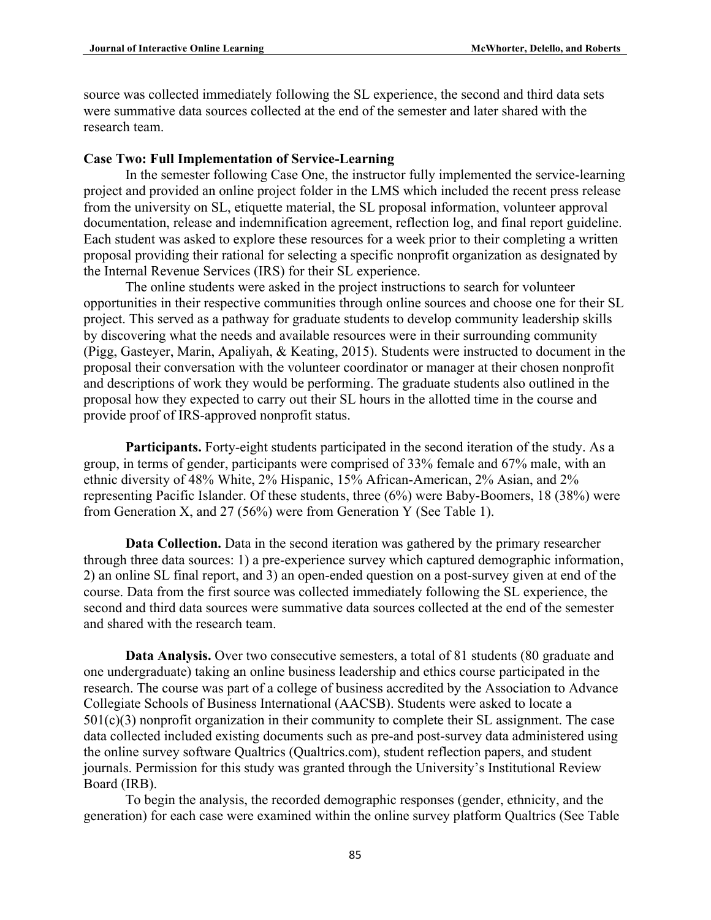source was collected immediately following the SL experience, the second and third data sets were summative data sources collected at the end of the semester and later shared with the research team.

## **Case Two: Full Implementation of Service-Learning**

In the semester following Case One, the instructor fully implemented the service-learning project and provided an online project folder in the LMS which included the recent press release from the university on SL, etiquette material, the SL proposal information, volunteer approval documentation, release and indemnification agreement, reflection log, and final report guideline. Each student was asked to explore these resources for a week prior to their completing a written proposal providing their rational for selecting a specific nonprofit organization as designated by the Internal Revenue Services (IRS) for their SL experience.

The online students were asked in the project instructions to search for volunteer opportunities in their respective communities through online sources and choose one for their SL project. This served as a pathway for graduate students to develop community leadership skills by discovering what the needs and available resources were in their surrounding community (Pigg, Gasteyer, Marin, Apaliyah, & Keating, 2015). Students were instructed to document in the proposal their conversation with the volunteer coordinator or manager at their chosen nonprofit and descriptions of work they would be performing. The graduate students also outlined in the proposal how they expected to carry out their SL hours in the allotted time in the course and provide proof of IRS-approved nonprofit status.

Participants. Forty-eight students participated in the second iteration of the study. As a group, in terms of gender, participants were comprised of 33% female and 67% male, with an ethnic diversity of 48% White, 2% Hispanic, 15% African-American, 2% Asian, and 2% representing Pacific Islander. Of these students, three (6%) were Baby-Boomers, 18 (38%) were from Generation X, and 27 (56%) were from Generation Y (See Table 1).

**Data Collection.** Data in the second iteration was gathered by the primary researcher through three data sources: 1) a pre-experience survey which captured demographic information, 2) an online SL final report, and 3) an open-ended question on a post-survey given at end of the course. Data from the first source was collected immediately following the SL experience, the second and third data sources were summative data sources collected at the end of the semester and shared with the research team.

**Data Analysis.** Over two consecutive semesters, a total of 81 students (80 graduate and one undergraduate) taking an online business leadership and ethics course participated in the research. The course was part of a college of business accredited by the Association to Advance Collegiate Schools of Business International (AACSB). Students were asked to locate a  $501(c)(3)$  nonprofit organization in their community to complete their SL assignment. The case data collected included existing documents such as pre-and post-survey data administered using the online survey software Qualtrics (Qualtrics.com), student reflection papers, and student journals. Permission for this study was granted through the University's Institutional Review Board (IRB).

To begin the analysis, the recorded demographic responses (gender, ethnicity, and the generation) for each case were examined within the online survey platform Qualtrics (See Table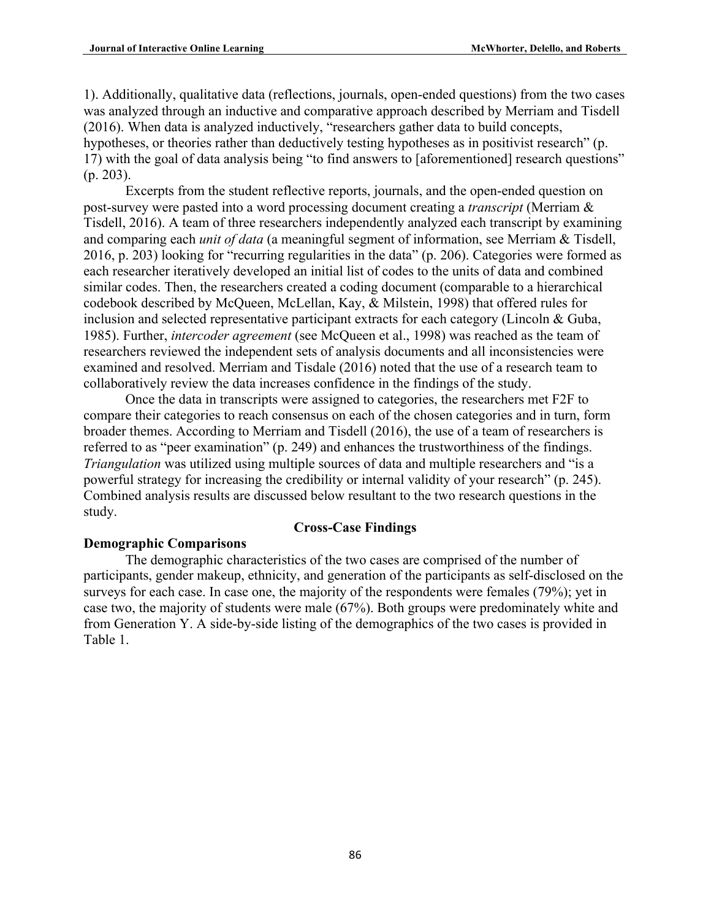1). Additionally, qualitative data (reflections, journals, open-ended questions) from the two cases was analyzed through an inductive and comparative approach described by Merriam and Tisdell (2016). When data is analyzed inductively, "researchers gather data to build concepts, hypotheses, or theories rather than deductively testing hypotheses as in positivist research" (p. 17) with the goal of data analysis being "to find answers to [aforementioned] research questions" (p. 203).

Excerpts from the student reflective reports, journals, and the open-ended question on post-survey were pasted into a word processing document creating a *transcript* (Merriam & Tisdell, 2016). A team of three researchers independently analyzed each transcript by examining and comparing each *unit of data* (a meaningful segment of information, see Merriam & Tisdell, 2016, p. 203) looking for "recurring regularities in the data" (p. 206). Categories were formed as each researcher iteratively developed an initial list of codes to the units of data and combined similar codes. Then, the researchers created a coding document (comparable to a hierarchical codebook described by McQueen, McLellan, Kay, & Milstein, 1998) that offered rules for inclusion and selected representative participant extracts for each category (Lincoln & Guba, 1985). Further, *intercoder agreement* (see McQueen et al., 1998) was reached as the team of researchers reviewed the independent sets of analysis documents and all inconsistencies were examined and resolved. Merriam and Tisdale (2016) noted that the use of a research team to collaboratively review the data increases confidence in the findings of the study.

Once the data in transcripts were assigned to categories, the researchers met F2F to compare their categories to reach consensus on each of the chosen categories and in turn, form broader themes. According to Merriam and Tisdell (2016), the use of a team of researchers is referred to as "peer examination" (p. 249) and enhances the trustworthiness of the findings. *Triangulation* was utilized using multiple sources of data and multiple researchers and "is a powerful strategy for increasing the credibility or internal validity of your research" (p. 245). Combined analysis results are discussed below resultant to the two research questions in the study.

# **Cross-Case Findings**

# **Demographic Comparisons**

The demographic characteristics of the two cases are comprised of the number of participants, gender makeup, ethnicity, and generation of the participants as self-disclosed on the surveys for each case. In case one, the majority of the respondents were females (79%); yet in case two, the majority of students were male (67%). Both groups were predominately white and from Generation Y. A side-by-side listing of the demographics of the two cases is provided in Table 1.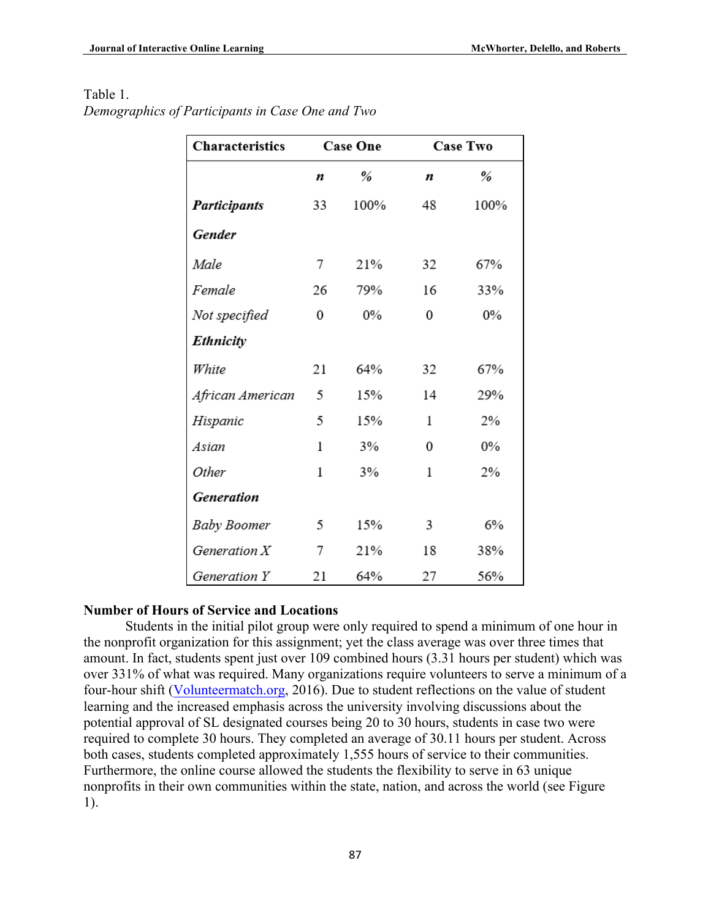| Characteristics     |              | <b>Case One</b> | <b>Case Two</b> |       |
|---------------------|--------------|-----------------|-----------------|-------|
|                     | n            | %               | n               | %     |
| <b>Participants</b> | 33           | 100%            | 48              | 100%  |
| Gender              |              |                 |                 |       |
| Male                | 7            | 21%             | 32              | 67%   |
| Female              | 26           | 79%             | 16              | 33%   |
| Not specified       | 0            | $0\%$           | 0               | $0\%$ |
| <b>Ethnicity</b>    |              |                 |                 |       |
| White               | 21           | 64%             | 32              | 67%   |
| African American    | 5            | 15%             | 14              | 29%   |
| Hispanic            | 5            | 15%             | 1               | 2%    |
| Asian               | 1            | 3%              | 0               | $0\%$ |
| Other               | $\mathbf{1}$ | 3%              | $\mathbf 1$     | 2%    |
| Generation          |              |                 |                 |       |
| <b>Baby Boomer</b>  | 5            | 15%             | 3               | 6%    |
| Generation $X$      | 7            | 21%             | 18              | 38%   |
| Generation Y        | 21           | 64%             | 27              | 56%   |

# Table 1.

*Demographics of Participants in Case One and Two*

# **Number of Hours of Service and Locations**

Students in the initial pilot group were only required to spend a minimum of one hour in the nonprofit organization for this assignment; yet the class average was over three times that amount. In fact, students spent just over 109 combined hours (3.31 hours per student) which was over 331% of what was required. Many organizations require volunteers to serve a minimum of a four-hour shift (Volunteermatch.org, 2016). Due to student reflections on the value of student learning and the increased emphasis across the university involving discussions about the potential approval of SL designated courses being 20 to 30 hours, students in case two were required to complete 30 hours. They completed an average of 30.11 hours per student. Across both cases, students completed approximately 1,555 hours of service to their communities. Furthermore, the online course allowed the students the flexibility to serve in 63 unique nonprofits in their own communities within the state, nation, and across the world (see Figure 1).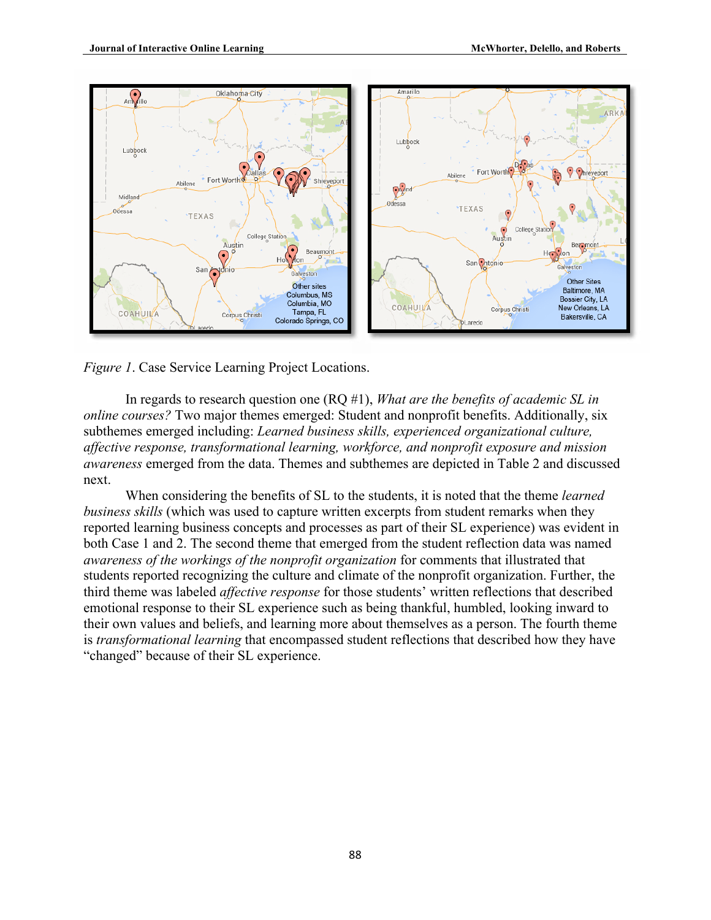

*Figure 1*. Case Service Learning Project Locations.

In regards to research question one (RQ #1), *What are the benefits of academic SL in online courses?* Two major themes emerged: Student and nonprofit benefits. Additionally, six subthemes emerged including: *Learned business skills, experienced organizational culture, affective response, transformational learning, workforce, and nonprofit exposure and mission awareness* emerged from the data. Themes and subthemes are depicted in Table 2 and discussed next.

When considering the benefits of SL to the students, it is noted that the theme *learned business skills* (which was used to capture written excerpts from student remarks when they reported learning business concepts and processes as part of their SL experience) was evident in both Case 1 and 2. The second theme that emerged from the student reflection data was named *awareness of the workings of the nonprofit organization* for comments that illustrated that students reported recognizing the culture and climate of the nonprofit organization. Further, the third theme was labeled *affective response* for those students' written reflections that described emotional response to their SL experience such as being thankful, humbled, looking inward to their own values and beliefs, and learning more about themselves as a person. The fourth theme is *transformational learning* that encompassed student reflections that described how they have "changed" because of their SL experience.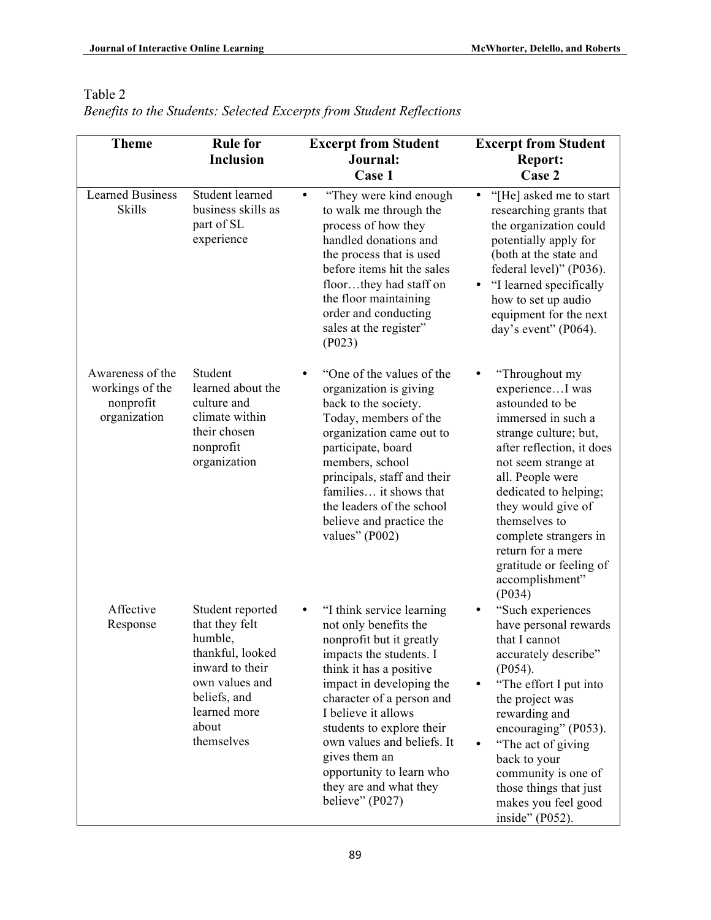*Benefits to the Students: Selected Excerpts from Student Reflections*

| <b>Theme</b>                                                     | <b>Rule for</b>                                                                                                                                               | <b>Excerpt from Student</b>                                                                                                                                                                                                                                                                                                                                                    | <b>Excerpt from Student</b>                                                                                                                                                                                                                                                                                                                        |
|------------------------------------------------------------------|---------------------------------------------------------------------------------------------------------------------------------------------------------------|--------------------------------------------------------------------------------------------------------------------------------------------------------------------------------------------------------------------------------------------------------------------------------------------------------------------------------------------------------------------------------|----------------------------------------------------------------------------------------------------------------------------------------------------------------------------------------------------------------------------------------------------------------------------------------------------------------------------------------------------|
|                                                                  | <b>Inclusion</b>                                                                                                                                              | Journal:                                                                                                                                                                                                                                                                                                                                                                       | <b>Report:</b>                                                                                                                                                                                                                                                                                                                                     |
|                                                                  |                                                                                                                                                               | Case 1                                                                                                                                                                                                                                                                                                                                                                         | Case 2                                                                                                                                                                                                                                                                                                                                             |
| <b>Learned Business</b><br><b>Skills</b>                         | Student learned<br>business skills as<br>part of SL<br>experience                                                                                             | "They were kind enough<br>$\bullet$<br>to walk me through the<br>process of how they<br>handled donations and<br>the process that is used<br>before items hit the sales<br>floorthey had staff on<br>the floor maintaining<br>order and conducting<br>sales at the register"<br>(P023)                                                                                         | "[He] asked me to start<br>٠<br>researching grants that<br>the organization could<br>potentially apply for<br>(both at the state and<br>federal level)" (P036).<br>"I learned specifically"<br>how to set up audio<br>equipment for the next<br>day's event" (P064).                                                                               |
| Awareness of the<br>workings of the<br>nonprofit<br>organization | Student<br>learned about the<br>culture and<br>climate within<br>their chosen<br>nonprofit<br>organization                                                    | "One of the values of the<br>organization is giving<br>back to the society.<br>Today, members of the<br>organization came out to<br>participate, board<br>members, school<br>principals, staff and their<br>families it shows that<br>the leaders of the school<br>believe and practice the<br>values" $(1002)$                                                                | "Throughout my<br>experienceI was<br>astounded to be<br>immersed in such a<br>strange culture; but,<br>after reflection, it does<br>not seem strange at<br>all. People were<br>dedicated to helping;<br>they would give of<br>themselves to<br>complete strangers in<br>return for a mere<br>gratitude or feeling of<br>accomplishment"<br>( P034) |
| Affective<br>Response                                            | Student reported<br>that they felt<br>humble,<br>thankful, looked<br>inward to their<br>own values and<br>beliefs, and<br>learned more<br>about<br>themselves | "I think service learning<br>٠<br>not only benefits the<br>nonprofit but it greatly<br>impacts the students. I<br>think it has a positive<br>impact in developing the<br>character of a person and<br>I believe it allows<br>students to explore their<br>own values and beliefs. It<br>gives them an<br>opportunity to learn who<br>they are and what they<br>believe" (P027) | "Such experiences<br>have personal rewards<br>that I cannot<br>accurately describe"<br>( P054).<br>"The effort I put into<br>the project was<br>rewarding and<br>encouraging" (P053).<br>"The act of giving<br>back to your<br>community is one of<br>those things that just<br>makes you feel good<br>inside" (P052).                             |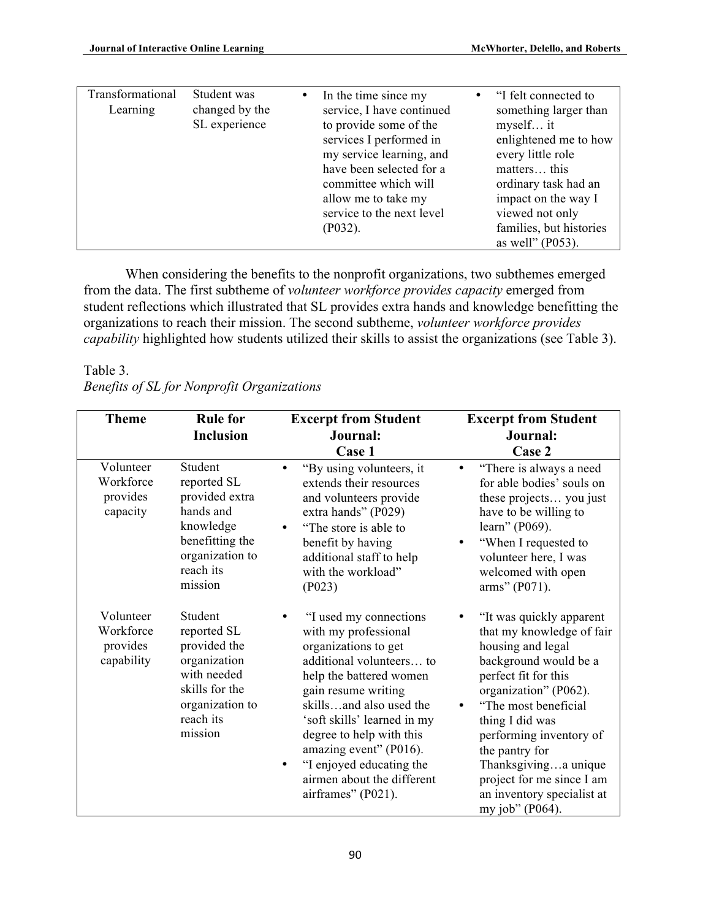| Transformational<br>Learning | Student was<br>changed by the<br>SL experience |  | In the time since my<br>service, I have continued<br>to provide some of the<br>services I performed in<br>my service learning, and<br>have been selected for a<br>committee which will<br>allow me to take my<br>service to the next level<br>( P032). | $\bullet$ | "I felt connected to<br>something larger than<br>myself it<br>enlightened me to how<br>every little role<br>matters this<br>ordinary task had an<br>impact on the way I<br>viewed not only<br>families, but histories<br>as well" $(P053)$ . |
|------------------------------|------------------------------------------------|--|--------------------------------------------------------------------------------------------------------------------------------------------------------------------------------------------------------------------------------------------------------|-----------|----------------------------------------------------------------------------------------------------------------------------------------------------------------------------------------------------------------------------------------------|
|------------------------------|------------------------------------------------|--|--------------------------------------------------------------------------------------------------------------------------------------------------------------------------------------------------------------------------------------------------------|-----------|----------------------------------------------------------------------------------------------------------------------------------------------------------------------------------------------------------------------------------------------|

When considering the benefits to the nonprofit organizations, two subthemes emerged from the data. The first subtheme of *volunteer workforce provides capacity* emerged from student reflections which illustrated that SL provides extra hands and knowledge benefitting the organizations to reach their mission. The second subtheme, *volunteer workforce provides capability* highlighted how students utilized their skills to assist the organizations (see Table 3).

# Table 3.

|  |  | Benefits of SL for Nonprofit Organizations |
|--|--|--------------------------------------------|
|  |  |                                            |

| <b>Theme</b>                                     | <b>Rule for</b><br><b>Inclusion</b>                                                                                                | <b>Excerpt from Student</b><br>Journal:<br>Case 1                                                                                                                                                                                                                                                                                                         | <b>Excerpt from Student</b><br>Journal:<br>Case 2                                                                                                                                                                                                                                                                                                   |
|--------------------------------------------------|------------------------------------------------------------------------------------------------------------------------------------|-----------------------------------------------------------------------------------------------------------------------------------------------------------------------------------------------------------------------------------------------------------------------------------------------------------------------------------------------------------|-----------------------------------------------------------------------------------------------------------------------------------------------------------------------------------------------------------------------------------------------------------------------------------------------------------------------------------------------------|
| Volunteer<br>Workforce<br>provides<br>capacity   | Student<br>reported SL<br>provided extra<br>hands and<br>knowledge<br>benefitting the<br>organization to<br>reach its<br>mission   | "By using volunteers, it<br>extends their resources<br>and volunteers provide<br>extra hands" (P029)<br>"The store is able to<br>benefit by having<br>additional staff to help<br>with the workload"<br>(P023)                                                                                                                                            | "There is always a need<br>$\bullet$<br>for able bodies' souls on<br>these projects you just<br>have to be willing to<br>learn" (P069).<br>"When I requested to<br>volunteer here, I was<br>welcomed with open<br>arms" (P071).                                                                                                                     |
| Volunteer<br>Workforce<br>provides<br>capability | Student<br>reported SL<br>provided the<br>organization<br>with needed<br>skills for the<br>organization to<br>reach its<br>mission | "I used my connections<br>with my professional<br>organizations to get<br>additional volunteers to<br>help the battered women<br>gain resume writing<br>skillsand also used the<br>'soft skills' learned in my<br>degree to help with this<br>amazing event" (P016).<br>"I enjoyed educating the<br>٠<br>airmen about the different<br>airframes" (P021). | "It was quickly apparent"<br>that my knowledge of fair<br>housing and legal<br>background would be a<br>perfect fit for this<br>organization" (P062).<br>"The most beneficial<br>thing I did was<br>performing inventory of<br>the pantry for<br>Thanksgivinga unique<br>project for me since I am<br>an inventory specialist at<br>my job" (P064). |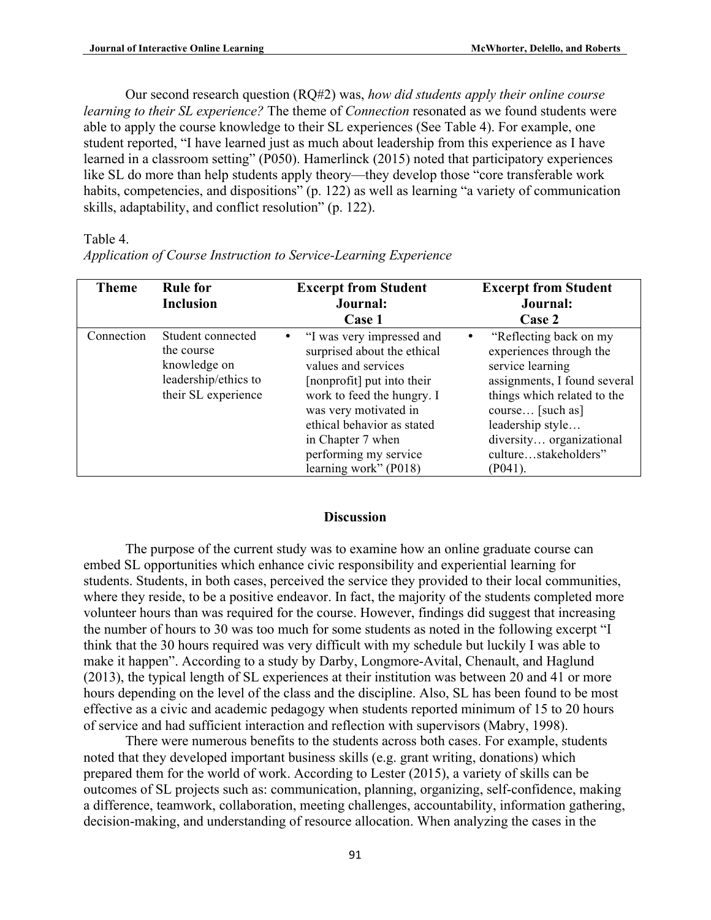Our second research question (RQ#2) was, *how did students apply their online course learning to their SL experience?* The theme of *Connection* resonated as we found students were able to apply the course knowledge to their SL experiences (See Table 4). For example, one student reported, "I have learned just as much about leadership from this experience as I have learned in a classroom setting" (P050). Hamerlinck (2015) noted that participatory experiences like SL do more than help students apply theory—they develop those "core transferable work habits, competencies, and dispositions" (p. 122) as well as learning "a variety of communication skills, adaptability, and conflict resolution" (p. 122).

#### Table 4.

| <b>Theme</b> | <b>Rule for</b><br><b>Inclusion</b>                                                            | <b>Excerpt from Student</b><br>Journal:<br>Case 1                                                                                                                                                                                                                           | <b>Excerpt from Student</b><br>Journal:<br>Case 2                                                                                                                                                                                              |
|--------------|------------------------------------------------------------------------------------------------|-----------------------------------------------------------------------------------------------------------------------------------------------------------------------------------------------------------------------------------------------------------------------------|------------------------------------------------------------------------------------------------------------------------------------------------------------------------------------------------------------------------------------------------|
| Connection   | Student connected<br>the course<br>knowledge on<br>leadership/ethics to<br>their SL experience | • "I was very impressed and<br>surprised about the ethical<br>values and services<br>[nonprofit] put into their<br>work to feed the hungry. I<br>was very motivated in<br>ethical behavior as stated<br>in Chapter 7 when<br>performing my service<br>learning work" (P018) | "Reflecting back on my<br>experiences through the<br>service learning<br>assignments, I found several<br>things which related to the<br>course [such as]<br>leadership style<br>diversity organizational<br>culturestakeholders"<br>$(P041)$ . |

*Application of Course Instruction to Service-Learning Experience*

#### **Discussion**

The purpose of the current study was to examine how an online graduate course can embed SL opportunities which enhance civic responsibility and experiential learning for students. Students, in both cases, perceived the service they provided to their local communities, where they reside, to be a positive endeavor. In fact, the majority of the students completed more volunteer hours than was required for the course. However, findings did suggest that increasing the number of hours to 30 was too much for some students as noted in the following excerpt "I think that the 30 hours required was very difficult with my schedule but luckily I was able to make it happen". According to a study by Darby, Longmore-Avital, Chenault, and Haglund (2013), the typical length of SL experiences at their institution was between 20 and 41 or more hours depending on the level of the class and the discipline. Also, SL has been found to be most effective as a civic and academic pedagogy when students reported minimum of 15 to 20 hours of service and had sufficient interaction and reflection with supervisors (Mabry, 1998).

There were numerous benefits to the students across both cases. For example, students noted that they developed important business skills (e.g. grant writing, donations) which prepared them for the world of work. According to Lester (2015), a variety of skills can be outcomes of SL projects such as: communication, planning, organizing, self-confidence, making a difference, teamwork, collaboration, meeting challenges, accountability, information gathering, decision-making, and understanding of resource allocation. When analyzing the cases in the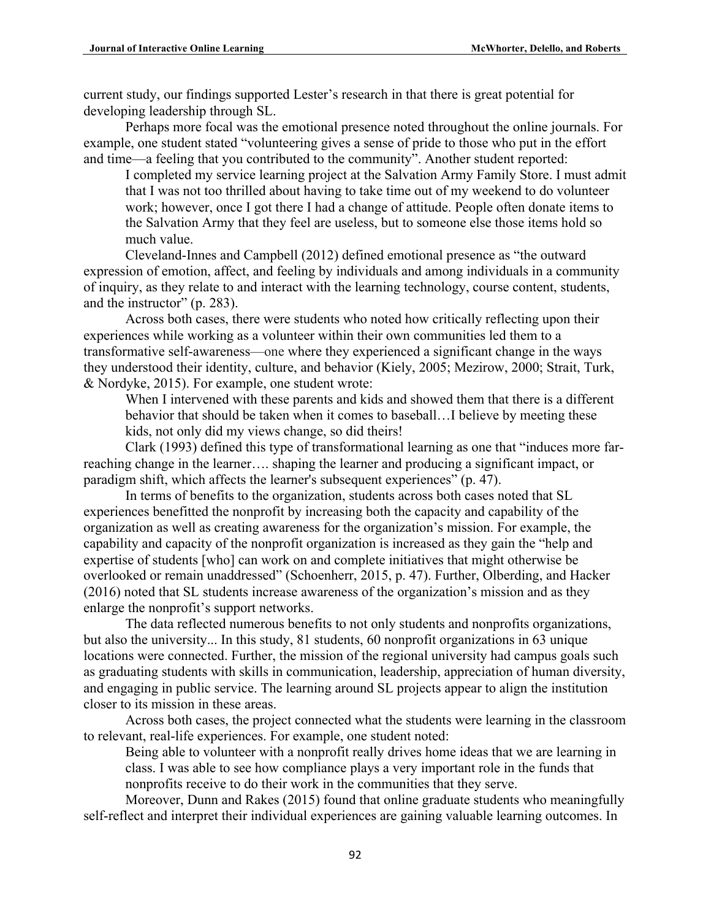current study, our findings supported Lester's research in that there is great potential for developing leadership through SL.

Perhaps more focal was the emotional presence noted throughout the online journals. For example, one student stated "volunteering gives a sense of pride to those who put in the effort and time—a feeling that you contributed to the community". Another student reported:

I completed my service learning project at the Salvation Army Family Store. I must admit that I was not too thrilled about having to take time out of my weekend to do volunteer work; however, once I got there I had a change of attitude. People often donate items to the Salvation Army that they feel are useless, but to someone else those items hold so much value.

Cleveland-Innes and Campbell (2012) defined emotional presence as "the outward expression of emotion, affect, and feeling by individuals and among individuals in a community of inquiry, as they relate to and interact with the learning technology, course content, students, and the instructor" (p. 283).

Across both cases, there were students who noted how critically reflecting upon their experiences while working as a volunteer within their own communities led them to a transformative self-awareness—one where they experienced a significant change in the ways they understood their identity, culture, and behavior (Kiely, 2005; Mezirow, 2000; Strait, Turk, & Nordyke, 2015). For example, one student wrote:

When I intervened with these parents and kids and showed them that there is a different behavior that should be taken when it comes to baseball…I believe by meeting these kids, not only did my views change, so did theirs!

Clark (1993) defined this type of transformational learning as one that "induces more farreaching change in the learner…. shaping the learner and producing a significant impact, or paradigm shift, which affects the learner's subsequent experiences" (p. 47).

In terms of benefits to the organization, students across both cases noted that SL experiences benefitted the nonprofit by increasing both the capacity and capability of the organization as well as creating awareness for the organization's mission. For example, the capability and capacity of the nonprofit organization is increased as they gain the "help and expertise of students [who] can work on and complete initiatives that might otherwise be overlooked or remain unaddressed" (Schoenherr, 2015, p. 47). Further, Olberding, and Hacker (2016) noted that SL students increase awareness of the organization's mission and as they enlarge the nonprofit's support networks.

The data reflected numerous benefits to not only students and nonprofits organizations, but also the university... In this study, 81 students, 60 nonprofit organizations in 63 unique locations were connected. Further, the mission of the regional university had campus goals such as graduating students with skills in communication, leadership, appreciation of human diversity, and engaging in public service. The learning around SL projects appear to align the institution closer to its mission in these areas.

Across both cases, the project connected what the students were learning in the classroom to relevant, real-life experiences. For example, one student noted:

Being able to volunteer with a nonprofit really drives home ideas that we are learning in class. I was able to see how compliance plays a very important role in the funds that nonprofits receive to do their work in the communities that they serve.

Moreover, Dunn and Rakes (2015) found that online graduate students who meaningfully self-reflect and interpret their individual experiences are gaining valuable learning outcomes. In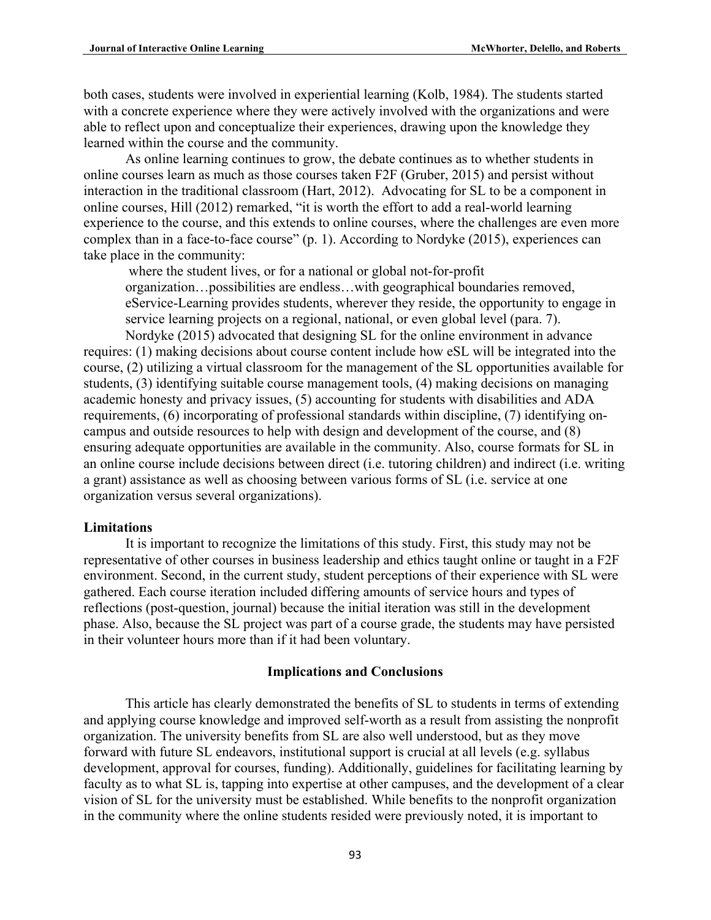both cases, students were involved in experiential learning (Kolb, 1984). The students started with a concrete experience where they were actively involved with the organizations and were able to reflect upon and conceptualize their experiences, drawing upon the knowledge they learned within the course and the community.

As online learning continues to grow, the debate continues as to whether students in online courses learn as much as those courses taken F2F (Gruber, 2015) and persist without interaction in the traditional classroom (Hart, 2012). Advocating for SL to be a component in online courses, Hill (2012) remarked, "it is worth the effort to add a real-world learning experience to the course, and this extends to online courses, where the challenges are even more complex than in a face-to-face course" (p. 1). According to Nordyke (2015), experiences can take place in the community:

where the student lives, or for a national or global not-for-profit organization…possibilities are endless…with geographical boundaries removed, eService-Learning provides students, wherever they reside, the opportunity to engage in service learning projects on a regional, national, or even global level (para. 7). Nordyke (2015) advocated that designing SL for the online environment in advance

requires: (1) making decisions about course content include how eSL will be integrated into the course, (2) utilizing a virtual classroom for the management of the SL opportunities available for students, (3) identifying suitable course management tools, (4) making decisions on managing academic honesty and privacy issues, (5) accounting for students with disabilities and ADA requirements, (6) incorporating of professional standards within discipline, (7) identifying oncampus and outside resources to help with design and development of the course, and (8) ensuring adequate opportunities are available in the community. Also, course formats for SL in an online course include decisions between direct (i.e. tutoring children) and indirect (i.e. writing a grant) assistance as well as choosing between various forms of SL (i.e. service at one organization versus several organizations).

#### **Limitations**

It is important to recognize the limitations of this study. First, this study may not be representative of other courses in business leadership and ethics taught online or taught in a F2F environment. Second, in the current study, student perceptions of their experience with SL were gathered. Each course iteration included differing amounts of service hours and types of reflections (post-question, journal) because the initial iteration was still in the development phase. Also, because the SL project was part of a course grade, the students may have persisted in their volunteer hours more than if it had been voluntary.

#### **Implications and Conclusions**

This article has clearly demonstrated the benefits of SL to students in terms of extending and applying course knowledge and improved self-worth as a result from assisting the nonprofit organization. The university benefits from SL are also well understood, but as they move forward with future SL endeavors, institutional support is crucial at all levels (e.g. syllabus development, approval for courses, funding). Additionally, guidelines for facilitating learning by faculty as to what SL is, tapping into expertise at other campuses, and the development of a clear vision of SL for the university must be established. While benefits to the nonprofit organization in the community where the online students resided were previously noted, it is important to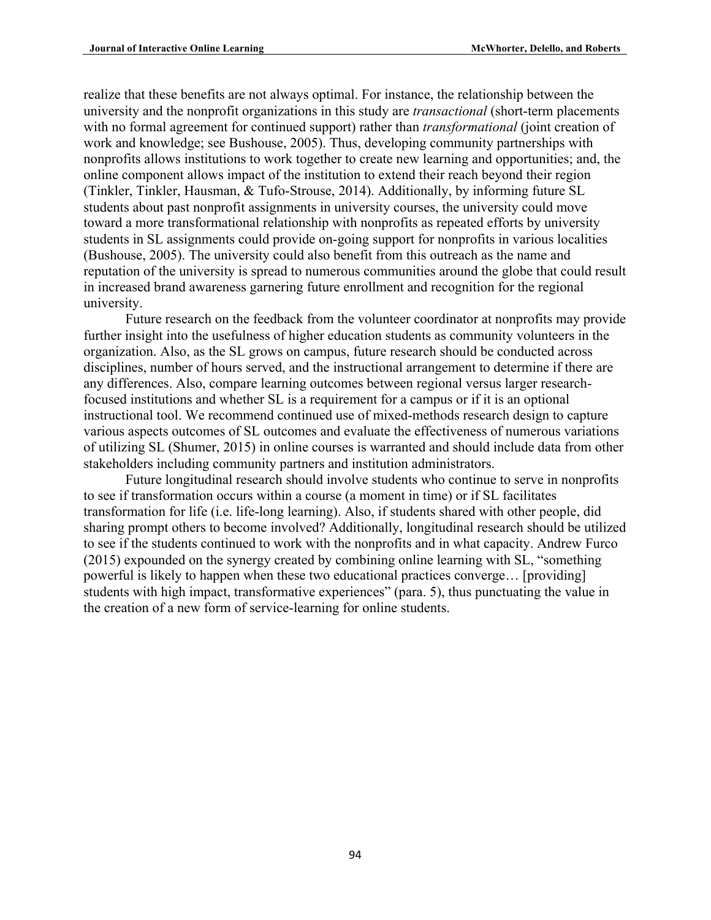realize that these benefits are not always optimal. For instance, the relationship between the university and the nonprofit organizations in this study are *transactional* (short-term placements with no formal agreement for continued support) rather than *transformational* (joint creation of work and knowledge; see Bushouse, 2005). Thus, developing community partnerships with nonprofits allows institutions to work together to create new learning and opportunities; and, the online component allows impact of the institution to extend their reach beyond their region (Tinkler, Tinkler, Hausman, & Tufo-Strouse, 2014). Additionally, by informing future SL students about past nonprofit assignments in university courses, the university could move toward a more transformational relationship with nonprofits as repeated efforts by university students in SL assignments could provide on-going support for nonprofits in various localities (Bushouse, 2005). The university could also benefit from this outreach as the name and reputation of the university is spread to numerous communities around the globe that could result in increased brand awareness garnering future enrollment and recognition for the regional university.

Future research on the feedback from the volunteer coordinator at nonprofits may provide further insight into the usefulness of higher education students as community volunteers in the organization. Also, as the SL grows on campus, future research should be conducted across disciplines, number of hours served, and the instructional arrangement to determine if there are any differences. Also, compare learning outcomes between regional versus larger researchfocused institutions and whether SL is a requirement for a campus or if it is an optional instructional tool. We recommend continued use of mixed-methods research design to capture various aspects outcomes of SL outcomes and evaluate the effectiveness of numerous variations of utilizing SL (Shumer, 2015) in online courses is warranted and should include data from other stakeholders including community partners and institution administrators.

Future longitudinal research should involve students who continue to serve in nonprofits to see if transformation occurs within a course (a moment in time) or if SL facilitates transformation for life (i.e. life-long learning). Also, if students shared with other people, did sharing prompt others to become involved? Additionally, longitudinal research should be utilized to see if the students continued to work with the nonprofits and in what capacity. Andrew Furco (2015) expounded on the synergy created by combining online learning with SL, "something powerful is likely to happen when these two educational practices converge… [providing] students with high impact, transformative experiences" (para. 5), thus punctuating the value in the creation of a new form of service-learning for online students.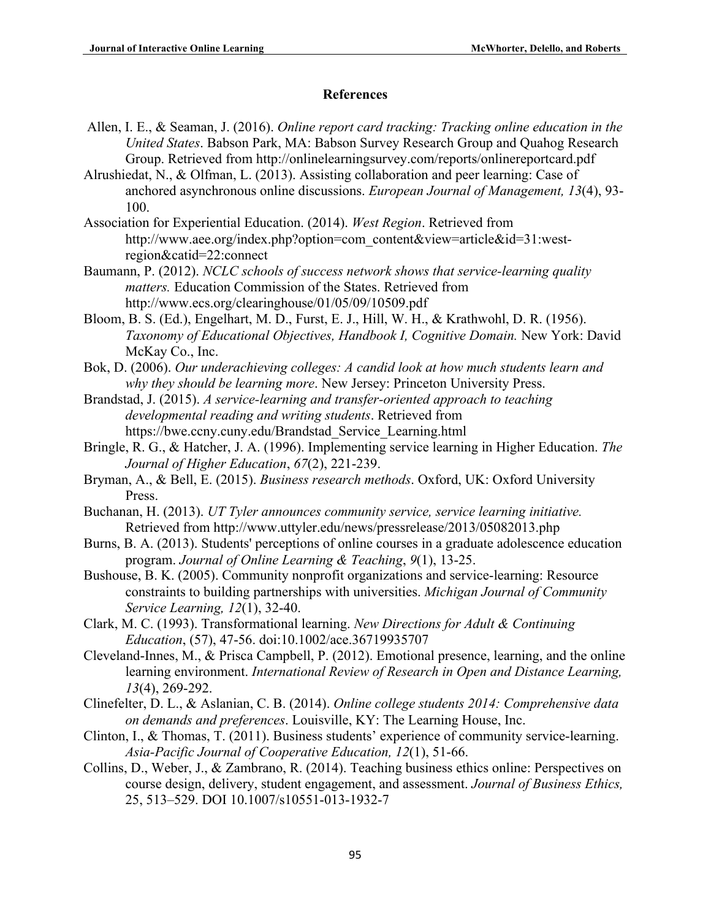# **References**

- Allen, I. E., & Seaman, J. (2016). *Online report card tracking: Tracking online education in the United States*. Babson Park, MA: Babson Survey Research Group and Quahog Research Group. Retrieved from http://onlinelearningsurvey.com/reports/onlinereportcard.pdf
- Alrushiedat, N., & Olfman, L. (2013). Assisting collaboration and peer learning: Case of anchored asynchronous online discussions. *European Journal of Management, 13*(4), 93- 100.
- Association for Experiential Education. (2014). *West Region*. Retrieved from http://www.aee.org/index.php?option=com\_content&view=article&id=31:westregion&catid=22:connect
- Baumann, P. (2012). *NCLC schools of success network shows that service-learning quality matters.* Education Commission of the States. Retrieved from http://www.ecs.org/clearinghouse/01/05/09/10509.pdf
- Bloom, B. S. (Ed.), Engelhart, M. D., Furst, E. J., Hill, W. H., & Krathwohl, D. R. (1956). *Taxonomy of Educational Objectives, Handbook I, Cognitive Domain.* New York: David McKay Co., Inc.
- Bok, D. (2006). *Our underachieving colleges: A candid look at how much students learn and why they should be learning more*. New Jersey: Princeton University Press.
- Brandstad, J. (2015). *A service-learning and transfer-oriented approach to teaching developmental reading and writing students*. Retrieved from https://bwe.ccny.cuny.edu/Brandstad\_Service\_Learning.html
- Bringle, R. G., & Hatcher, J. A. (1996). Implementing service learning in Higher Education. *The Journal of Higher Education*, *67*(2), 221-239.
- Bryman, A., & Bell, E. (2015). *Business research methods*. Oxford, UK: Oxford University Press.
- Buchanan, H. (2013). *UT Tyler announces community service, service learning initiative.* Retrieved from http://www.uttyler.edu/news/pressrelease/2013/05082013.php
- Burns, B. A. (2013). Students' perceptions of online courses in a graduate adolescence education program. *Journal of Online Learning & Teaching*, *9*(1), 13-25.
- Bushouse, B. K. (2005). Community nonprofit organizations and service-learning: Resource constraints to building partnerships with universities. *Michigan Journal of Community Service Learning, 12*(1), 32-40.
- Clark, M. C. (1993). Transformational learning. *New Directions for Adult & Continuing Education*, (57), 47-56. doi:10.1002/ace.36719935707
- Cleveland-Innes, M., & Prisca Campbell, P. (2012). Emotional presence, learning, and the online learning environment. *International Review of Research in Open and Distance Learning, 13*(4), 269-292.
- Clinefelter, D. L., & Aslanian, C. B. (2014). *Online college students 2014: Comprehensive data on demands and preferences*. Louisville, KY: The Learning House, Inc.
- Clinton, I., & Thomas, T. (2011). Business students' experience of community service-learning. *Asia-Pacific Journal of Cooperative Education, 12*(1), 51-66.
- Collins, D., Weber, J., & Zambrano, R. (2014). Teaching business ethics online: Perspectives on course design, delivery, student engagement, and assessment. *Journal of Business Ethics,* 25, 513–529. DOI 10.1007/s10551-013-1932-7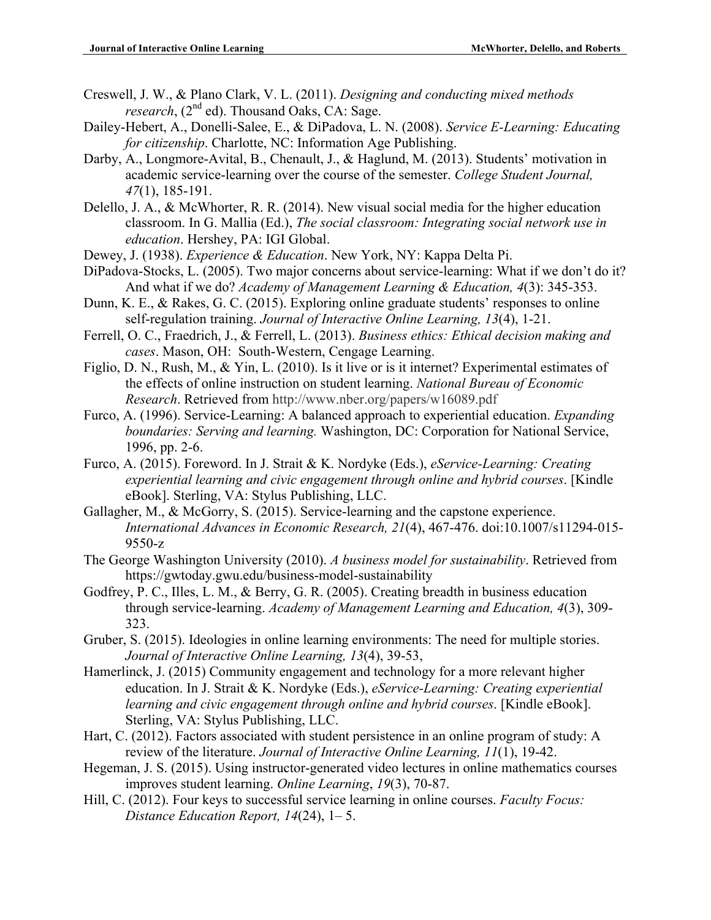- Creswell, J. W., & Plano Clark, V. L. (2011). *Designing and conducting mixed methods research*,  $(2^{nd}$  ed). Thousand Oaks, CA: Sage.
- Dailey-Hebert, A., Donelli-Salee, E., & DiPadova, L. N. (2008). *Service E-Learning: Educating for citizenship*. Charlotte, NC: Information Age Publishing.
- Darby, A., Longmore-Avital, B., Chenault, J., & Haglund, M. (2013). Students' motivation in academic service-learning over the course of the semester. *College Student Journal, 47*(1), 185-191.
- Delello, J. A., & McWhorter, R. R. (2014). New visual social media for the higher education classroom. In G. Mallia (Ed.), *The social classroom: Integrating social network use in education*. Hershey, PA: IGI Global.
- Dewey, J. (1938). *Experience & Education*. New York, NY: Kappa Delta Pi.
- DiPadova-Stocks, L. (2005). Two major concerns about service-learning: What if we don't do it? And what if we do? *Academy of Management Learning & Education, 4*(3): 345-353.
- Dunn, K. E., & Rakes, G. C. (2015). Exploring online graduate students' responses to online self-regulation training. *Journal of Interactive Online Learning, 13*(4), 1-21.
- Ferrell, O. C., Fraedrich, J., & Ferrell, L. (2013). *Business ethics: Ethical decision making and cases*. Mason, OH: South-Western, Cengage Learning.
- Figlio, D. N., Rush, M., & Yin, L. (2010). Is it live or is it internet? Experimental estimates of the effects of online instruction on student learning. *National Bureau of Economic Research*. Retrieved from http://www.nber.org/papers/w16089.pdf
- Furco, A. (1996). Service-Learning: A balanced approach to experiential education. *Expanding boundaries: Serving and learning.* Washington, DC: Corporation for National Service, 1996, pp. 2-6.
- Furco, A. (2015). Foreword. In J. Strait & K. Nordyke (Eds.), *eService-Learning: Creating experiential learning and civic engagement through online and hybrid courses*. [Kindle eBook]. Sterling, VA: Stylus Publishing, LLC.
- Gallagher, M., & McGorry, S. (2015). Service-learning and the capstone experience. *International Advances in Economic Research, 21*(4), 467-476. doi:10.1007/s11294-015- 9550-z
- The George Washington University (2010). *A business model for sustainability*. Retrieved from https://gwtoday.gwu.edu/business-model-sustainability
- Godfrey, P. C., Illes, L. M., & Berry, G. R. (2005). Creating breadth in business education through service-learning. *Academy of Management Learning and Education, 4*(3), 309- 323.
- Gruber, S. (2015). Ideologies in online learning environments: The need for multiple stories. *Journal of Interactive Online Learning, 13*(4), 39-53,
- Hamerlinck, J. (2015) Community engagement and technology for a more relevant higher education. In J. Strait & K. Nordyke (Eds.), *eService-Learning: Creating experiential learning and civic engagement through online and hybrid courses*. [Kindle eBook]. Sterling, VA: Stylus Publishing, LLC.
- Hart, C. (2012). Factors associated with student persistence in an online program of study: A review of the literature. *Journal of Interactive Online Learning, 11*(1), 19-42.
- Hegeman, J. S. (2015). Using instructor-generated video lectures in online mathematics courses improves student learning. *Online Learning*, *19*(3), 70-87.
- Hill, C. (2012). Four keys to successful service learning in online courses. *Faculty Focus: Distance Education Report, 14*(24), 1– 5.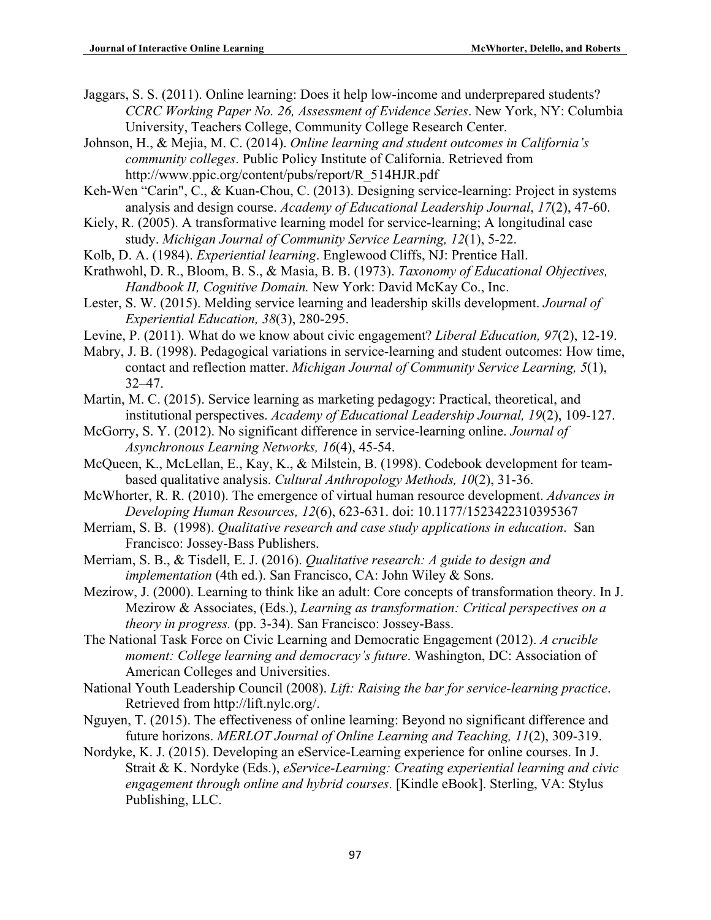Jaggars, S. S. (2011). Online learning: Does it help low-income and underprepared students? *CCRC Working Paper No. 26, Assessment of Evidence Series*. New York, NY: Columbia University, Teachers College, Community College Research Center.

- Johnson, H., & Mejia, M. C. (2014). *Online learning and student outcomes in California's community colleges*. Public Policy Institute of California. Retrieved from http://www.ppic.org/content/pubs/report/R\_514HJR.pdf
- Keh-Wen "Carin", C., & Kuan-Chou, C. (2013). Designing service-learning: Project in systems analysis and design course. *Academy of Educational Leadership Journal*, *17*(2), 47-60.
- Kiely, R. (2005). A transformative learning model for service-learning; A longitudinal case study. *Michigan Journal of Community Service Learning, 12*(1), 5-22.
- Kolb, D. A. (1984). *Experiential learning*. Englewood Cliffs, NJ: Prentice Hall.
- Krathwohl, D. R., Bloom, B. S., & Masia, B. B. (1973). *Taxonomy of Educational Objectives, Handbook II, Cognitive Domain.* New York: David McKay Co., Inc.
- Lester, S. W. (2015). Melding service learning and leadership skills development. *Journal of Experiential Education, 38*(3), 280-295.
- Levine, P. (2011). What do we know about civic engagement? *Liberal Education, 97*(2), 12-19.
- Mabry, J. B. (1998). Pedagogical variations in service-learning and student outcomes: How time, contact and reflection matter. *Michigan Journal of Community Service Learning, 5*(1), 32–47.
- Martin, M. C. (2015). Service learning as marketing pedagogy: Practical, theoretical, and institutional perspectives. *Academy of Educational Leadership Journal, 19*(2), 109-127.
- McGorry, S. Y. (2012). No significant difference in service-learning online. *Journal of Asynchronous Learning Networks, 16*(4), 45-54.
- McQueen, K., McLellan, E., Kay, K., & Milstein, B. (1998). Codebook development for teambased qualitative analysis. *Cultural Anthropology Methods, 10*(2), 31-36.
- McWhorter, R. R. (2010). The emergence of virtual human resource development. *Advances in Developing Human Resources, 12*(6), 623-631. doi: 10.1177/1523422310395367
- Merriam, S. B. (1998). *Qualitative research and case study applications in education*. San Francisco: Jossey-Bass Publishers.
- Merriam, S. B., & Tisdell, E. J. (2016). *Qualitative research: A guide to design and implementation* (4th ed.). San Francisco, CA: John Wiley & Sons.
- Mezirow, J. (2000). Learning to think like an adult: Core concepts of transformation theory. In J. Mezirow & Associates, (Eds.), *Learning as transformation: Critical perspectives on a theory in progress.* (pp. 3-34). San Francisco: Jossey-Bass.
- The National Task Force on Civic Learning and Democratic Engagement (2012). *A crucible moment: College learning and democracy's future*. Washington, DC: Association of American Colleges and Universities.
- National Youth Leadership Council (2008). *Lift: Raising the bar for service-learning practice*. Retrieved from http://lift.nylc.org/.
- Nguyen, T. (2015). The effectiveness of online learning: Beyond no significant difference and future horizons. *MERLOT Journal of Online Learning and Teaching, 11*(2), 309-319.
- Nordyke, K. J. (2015). Developing an eService-Learning experience for online courses. In J. Strait & K. Nordyke (Eds.), *eService-Learning: Creating experiential learning and civic engagement through online and hybrid courses*. [Kindle eBook]. Sterling, VA: Stylus Publishing, LLC.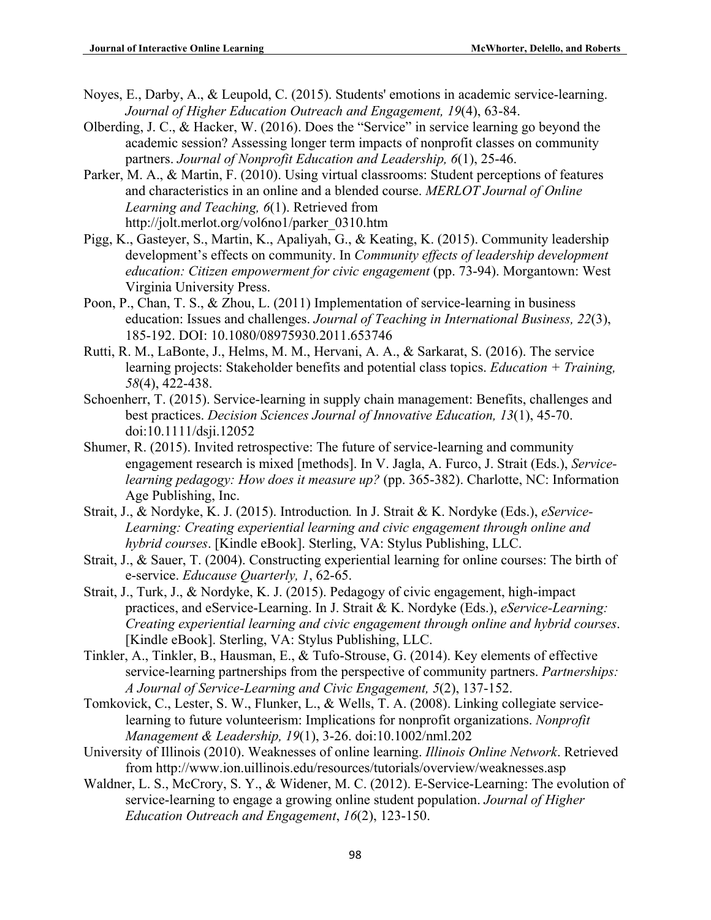- Noyes, E., Darby, A., & Leupold, C. (2015). Students' emotions in academic service-learning. *Journal of Higher Education Outreach and Engagement, 19*(4), 63-84.
- Olberding, J. C., & Hacker, W. (2016). Does the "Service" in service learning go beyond the academic session? Assessing longer term impacts of nonprofit classes on community partners. *Journal of Nonprofit Education and Leadership, 6*(1), 25-46.
- Parker, M. A., & Martin, F. (2010). Using virtual classrooms: Student perceptions of features and characteristics in an online and a blended course. *MERLOT Journal of Online Learning and Teaching, 6*(1). Retrieved from http://jolt.merlot.org/vol6no1/parker\_0310.htm
- Pigg, K., Gasteyer, S., Martin, K., Apaliyah, G., & Keating, K. (2015). Community leadership development's effects on community. In *Community effects of leadership development education: Citizen empowerment for civic engagement* (pp. 73-94). Morgantown: West Virginia University Press.
- Poon, P., Chan, T. S., & Zhou, L. (2011) Implementation of service-learning in business education: Issues and challenges. *Journal of Teaching in International Business, 22*(3), 185-192. DOI: 10.1080/08975930.2011.653746
- Rutti, R. M., LaBonte, J., Helms, M. M., Hervani, A. A., & Sarkarat, S. (2016). The service learning projects: Stakeholder benefits and potential class topics. *Education + Training, 58*(4), 422-438.
- Schoenherr, T. (2015). Service-learning in supply chain management: Benefits, challenges and best practices. *Decision Sciences Journal of Innovative Education, 13*(1), 45-70. doi:10.1111/dsji.12052
- Shumer, R. (2015). Invited retrospective: The future of service-learning and community engagement research is mixed [methods]. In V. Jagla, A. Furco, J. Strait (Eds.), *Servicelearning pedagogy: How does it measure up?* (pp. 365-382). Charlotte, NC: Information Age Publishing, Inc.
- Strait, J., & Nordyke, K. J. (2015). Introduction*.* In J. Strait & K. Nordyke (Eds.), *eService-Learning: Creating experiential learning and civic engagement through online and hybrid courses*. [Kindle eBook]. Sterling, VA: Stylus Publishing, LLC.
- Strait, J., & Sauer, T. (2004). Constructing experiential learning for online courses: The birth of e-service. *Educause Quarterly, 1*, 62-65.
- Strait, J., Turk, J., & Nordyke, K. J. (2015). Pedagogy of civic engagement, high-impact practices, and eService-Learning. In J. Strait & K. Nordyke (Eds.), *eService-Learning: Creating experiential learning and civic engagement through online and hybrid courses*. [Kindle eBook]. Sterling, VA: Stylus Publishing, LLC.
- Tinkler, A., Tinkler, B., Hausman, E., & Tufo-Strouse, G. (2014). Key elements of effective service-learning partnerships from the perspective of community partners. *Partnerships: A Journal of Service-Learning and Civic Engagement, 5*(2), 137-152.
- Tomkovick, C., Lester, S. W., Flunker, L., & Wells, T. A. (2008). Linking collegiate servicelearning to future volunteerism: Implications for nonprofit organizations. *Nonprofit Management & Leadership, 19*(1), 3-26. doi:10.1002/nml.202
- University of Illinois (2010). Weaknesses of online learning. *Illinois Online Network*. Retrieved from http://www.ion.uillinois.edu/resources/tutorials/overview/weaknesses.asp
- Waldner, L. S., McCrory, S. Y., & Widener, M. C. (2012). E-Service-Learning: The evolution of service-learning to engage a growing online student population. *Journal of Higher Education Outreach and Engagement*, *16*(2), 123-150.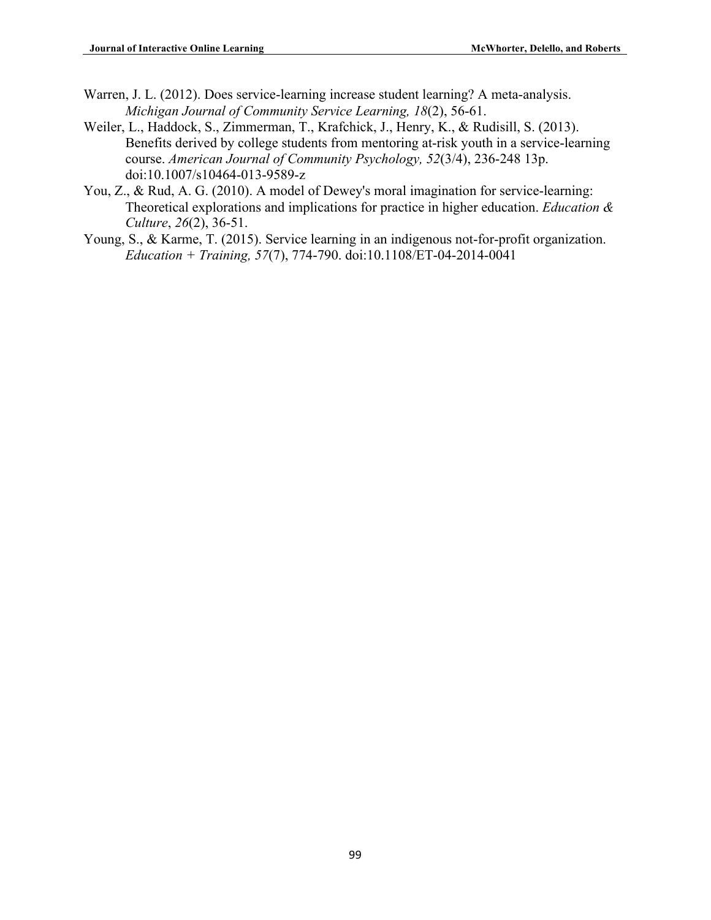- Warren, J. L. (2012). Does service-learning increase student learning? A meta-analysis. *Michigan Journal of Community Service Learning, 18*(2), 56-61.
- Weiler, L., Haddock, S., Zimmerman, T., Krafchick, J., Henry, K., & Rudisill, S. (2013). Benefits derived by college students from mentoring at-risk youth in a service-learning course. *American Journal of Community Psychology, 52*(3/4), 236-248 13p. doi:10.1007/s10464-013-9589-z
- You, Z., & Rud, A. G. (2010). A model of Dewey's moral imagination for service-learning: Theoretical explorations and implications for practice in higher education. *Education & Culture*, *26*(2), 36-51.
- Young, S., & Karme, T. (2015). Service learning in an indigenous not-for-profit organization. *Education + Training, 57*(7), 774-790. doi:10.1108/ET-04-2014-0041